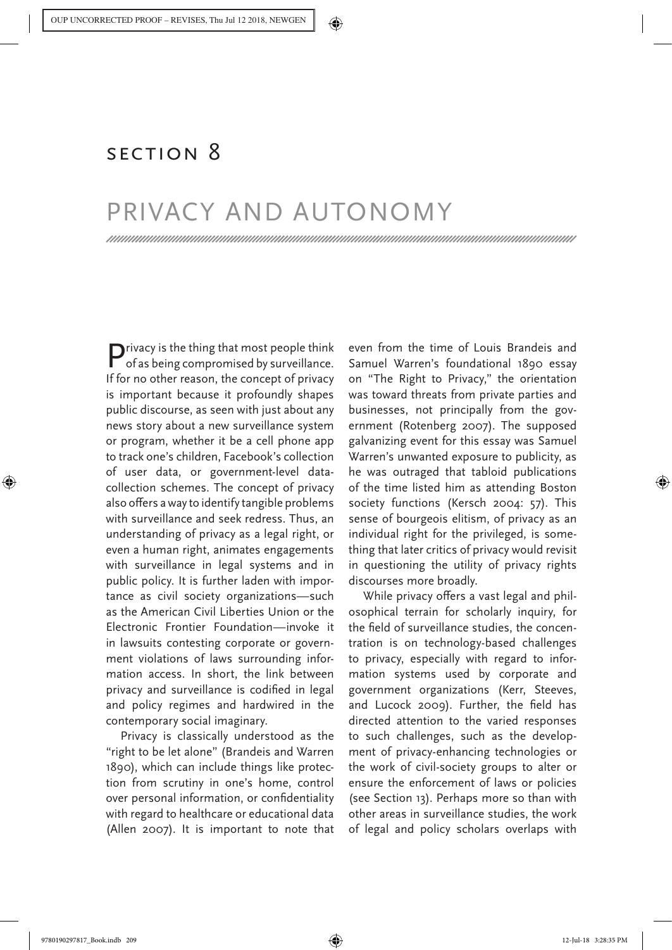Monahan, Torin, and David Murakami Wood. 2018. Privacy and Autonomy. In Surveillance Studies: A Reader, edited by T. Monahan and D. Murakami Wood. New York: Oxford University Press, 209-211.

## Section 8

## PRIVACY AND AUTONOMY

**P**rivacy is the thing that most people think of as being compromised by surveillance. If for no other reason, the concept of privacy is important because it profoundly shapes public discourse, as seen with just about any news story about a new surveillance system or program, whether it be a cell phone app to track one's children, Facebook's collection of user data, or government-level datacollection schemes. The concept of privacy also offers a way to identify tangible problems with surveillance and seek redress. Thus, an understanding of privacy as a legal right, or even a human right, animates engagements with surveillance in legal systems and in public policy. It is further laden with importance as civil society organizations—such as the American Civil Liberties Union or the Electronic Frontier Foundation—invoke it in lawsuits contesting corporate or government violations of laws surrounding information access. In short, the link between privacy and surveillance is codified in legal and policy regimes and hardwired in the contemporary social imaginary.

Privacy is classically understood as the "right to be let alone" (Brandeis and Warren 1890), which can include things like protection from scrutiny in one's home, control over personal information, or confidentiality with regard to healthcare or educational data (Allen 2007). It is important to note that

even from the time of Louis Brandeis and Samuel Warren's foundational 1890 essay on "The Right to Privacy," the orientation was toward threats from private parties and businesses, not principally from the government (Rotenberg 2007). The supposed galvanizing event for this essay was Samuel Warren's unwanted exposure to publicity, as he was outraged that tabloid publications of the time listed him as attending Boston society functions (Kersch 2004: 57). This sense of bourgeois elitism, of privacy as an individual right for the privileged, is something that later critics of privacy would revisit in questioning the utility of privacy rights discourses more broadly.

While privacy offers a vast legal and philosophical terrain for scholarly inquiry, for the field of surveillance studies, the concentration is on technology-based challenges to privacy, especially with regard to information systems used by corporate and government organizations (Kerr, Steeves, and Lucock 2009). Further, the field has directed attention to the varied responses to such challenges, such as the development of privacy-enhancing technologies or the work of civil-society groups to alter or ensure the enforcement of laws or policies (see Section 13). Perhaps more so than with other areas in surveillance studies, the work of legal and policy scholars overlaps with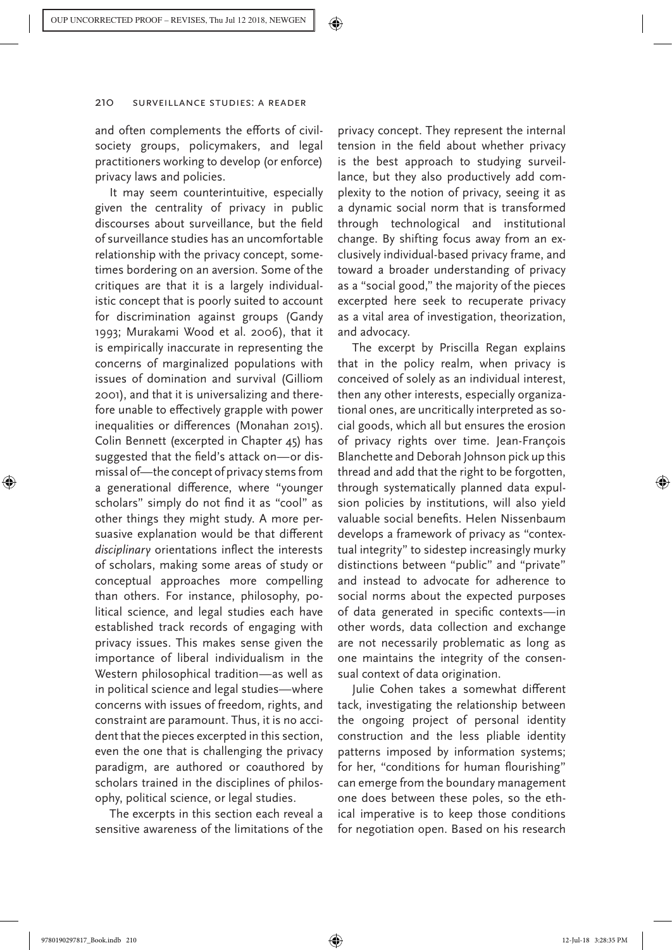and often complements the efforts of civilsociety groups, policymakers, and legal practitioners working to develop (or enforce) privacy laws and policies.

It may seem counterintuitive, especially given the centrality of privacy in public discourses about surveillance, but the field of surveillance studies has an uncomfortable relationship with the privacy concept, sometimes bordering on an aversion. Some of the critiques are that it is a largely individualistic concept that is poorly suited to account for discrimination against groups (Gandy 1993; Murakami Wood et al. 2006), that it is empirically inaccurate in representing the concerns of marginalized populations with issues of domination and survival (Gilliom 2001), and that it is universalizing and therefore unable to effectively grapple with power inequalities or differences (Monahan 2015). Colin Bennett (excerpted in Chapter 45) has suggested that the field's attack on—or dismissal of—the concept of privacy stems from a generational difference, where "younger scholars" simply do not find it as "cool" as other things they might study. A more persuasive explanation would be that different *disciplinary* orientations inflect the interests of scholars, making some areas of study or conceptual approaches more compelling than others. For instance, philosophy, political science, and legal studies each have established track records of engaging with privacy issues. This makes sense given the importance of liberal individualism in the Western philosophical tradition—as well as in political science and legal studies—where concerns with issues of freedom, rights, and constraint are paramount. Thus, it is no accident that the pieces excerpted in this section, even the one that is challenging the privacy paradigm, are authored or coauthored by scholars trained in the disciplines of philosophy, political science, or legal studies.

The excerpts in this section each reveal a sensitive awareness of the limitations of the privacy concept. They represent the internal tension in the field about whether privacy is the best approach to studying surveillance, but they also productively add complexity to the notion of privacy, seeing it as a dynamic social norm that is transformed through technological and institutional change. By shifting focus away from an exclusively individual-based privacy frame, and toward a broader understanding of privacy as a "social good," the majority of the pieces excerpted here seek to recuperate privacy as a vital area of investigation, theorization, and advocacy.

The excerpt by Priscilla Regan explains that in the policy realm, when privacy is conceived of solely as an individual interest, then any other interests, especially organizational ones, are uncritically interpreted as social goods, which all but ensures the erosion of privacy rights over time. Jean-François Blanchette and Deborah Johnson pick up this thread and add that the right to be forgotten, through systematically planned data expulsion policies by institutions, will also yield valuable social benefits. Helen Nissenbaum develops a framework of privacy as "contextual integrity" to sidestep increasingly murky distinctions between "public" and "private" and instead to advocate for adherence to social norms about the expected purposes of data generated in specific contexts—in other words, data collection and exchange are not necessarily problematic as long as one maintains the integrity of the consensual context of data origination.

Julie Cohen takes a somewhat different tack, investigating the relationship between the ongoing project of personal identity construction and the less pliable identity patterns imposed by information systems; for her, "conditions for human flourishing" can emerge from the boundary management one does between these poles, so the ethical imperative is to keep those conditions for negotiation open. Based on his research